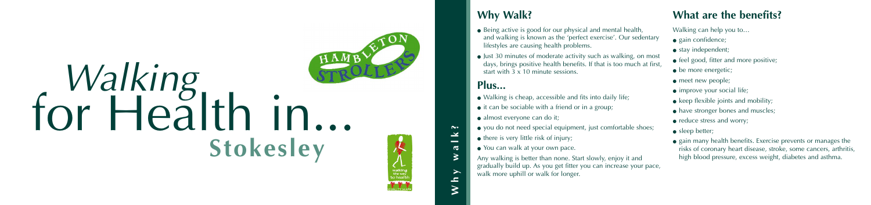# Walking teălth in... **Stokesley**



**Why walk?**

 $\sim$  $\mathbf{\underline{\times}}$  $\sim$  $\mathbf{\sigma}$  $\geq$  $\blacktriangleright$  $\mathbf{r}$ 

- Being active is good for our physical and mental health, and walking is known as the 'perfect exercise'. Our sedentary lifestyles are causing health problems.
- Just 30 minutes of moderate activity such as walking, on most days, brings positive health benefits. If that is too much at first, start with 3 x 10 minute sessions.

# **Plus...**

- Walking is cheap, accessible and fits into daily life;
- it can be sociable with a friend or in a group;
- almost everyone can do it;
- you do not need special equipment, just comfortable shoes;
	- there is very little risk of injury;
- You can walk at your own pace.
- gain confidence;
- stay independent;
- feel good, fitter and more positive;
- be more energetic;
- meet new people;
- improve your social life;
- $\bullet$  keep flexible joints and mobility;
- have stronger bones and muscles;
- reduce stress and worry;
- sleep better;
- gain many health benefits. Exercise prevents or manages the risks of coronary heart disease, stroke, some cancers, arthritis, high blood pressure, excess weight, diabetes and asthma.



Any walking is better than none. Start slowly, enjoy it and gradually build up. As you get fitter you can increase your pace, walk more uphill or walk for longer.

Walking can help you to…

# **Why Walk? What are the benefits?**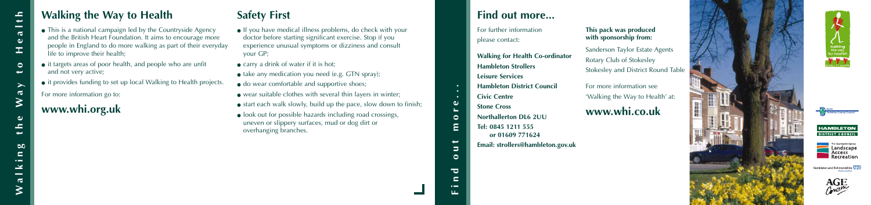# **Walking the Way to Health Safety First**

- This is a national campaign led by the Countryside Agency and the British Heart Foundation. It aims to encourage more people in England to do more walking as part of their everyday life to improve their health;
- it targets areas of poor health, and people who are unfit and not very active;
- it provides funding to set up local Walking to Health projects.

## For more information go to:

**www.whi.org.uk**

- If you have medical illness problems, do check with your doctor before starting significant exercise. Stop if you experience unusual symptoms or dizziness and consult your GP;
- carry a drink of water if it is hot;
- $\bullet$  take any medication you need (e.g. GTN spray);
- do wear comfortable and supportive shoes;
- wear suitable clothes with several thin layers in winter;
- $\bullet$  start each walk slowly, build up the pace, slow down to finish;
- look out for possible hazards including road crossings, uneven or slippery surfaces, mud or dog dirt or overhanging branches.

**Find out more...**

 $\overline{\phantom{0}}$ 

 $\Rightarrow$ 

 $\circ$ 

 $\overline{\phantom{a}}$  $\blacksquare$ 

 $\bullet$   $\blacksquare$ 

 $\bullet$  $\circ$ Ε For further information please contact:

**Walking for Health Co-ordinator**

**Hambleton Strollers Leisure Services**

**Hambleton District Council**

**Civic Centre Stone Cross**

**Northallerton DL6 2UU Tel: 0845 1211 555 or 01609 771624**

**Email: strollers@hambleton.gov.uk**

#### **This pack was produced with sponsorship from:**

Sanderson Taylor Estate Agents Rotary Club of Stokesley Stokesley and District Round Table

For more information see 'Walking the Way to Health' at:

# **www.whi.co.uk**





## **Find out more...**







Hambleton and Richmondshire NIFS

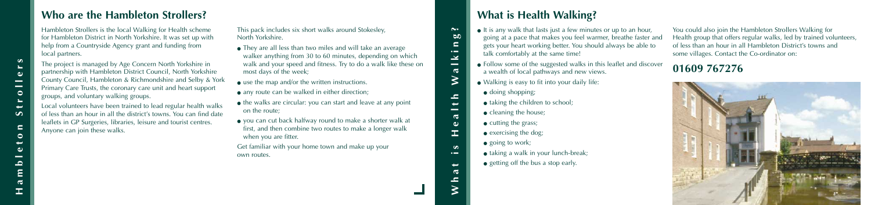Hambleton Strollers is the local Walking for Health scheme for Hambleton District in North Yorkshire. It was set up with help from a Countryside Agency grant and funding from local partners.

The project is managed by Age Concern North Yorkshire in partnership with Hambleton District Council, North Yorkshire County Council, Hambleton & Richmondshire and Selby & York Primary Care Trusts, the coronary care unit and heart support groups, and voluntary walking groups.

Local volunteers have been trained to lead regular health walks of less than an hour in all the district's towns. You can find date leaflets in GP Surgeries, libraries, leisure and tourist centres. Anyone can join these walks.

- They are all less than two miles and will take an average walker anything from 30 to 60 minutes, depending on which walk and your speed and fitness. Try to do a walk like these on most days of the week;
- $\bullet$  use the map and/or the written instructions.
- any route can be walked in either direction;
- the walks are circular: you can start and leave at any point on the route;
- you can cut back halfway round to make a shorter walk at first, and then combine two routes to make a longer walk when you are fitter.

This pack includes six short walks around Stokesley, North Yorkshire.

- exercising the dog;
- $\bullet$  going to work;
- taking a walk in your lunch-break;
- getting off the bus a stop early.

Get familiar with your home town and make up your own routes.

# **Who are the Hambleton Strollers?**

You could also join the Hambleton Strollers Walking for Health group that offers regular walks, led by trained volunteers, of less than an hour in all Hambleton District's towns and some villages. Contact the Co-ordinator on:

**01609 767276**



**What is Health Walking?**

 $\sigma$  $\bullet$ 

工。  $\boldsymbol{\omega}$  $\bullet$   $\blacksquare$ 

> سه  $\mathbf{\sigma}$

 $\overline{\phantom{a}}$ 

 $\sim$  $\infty$  $\epsilon$  $\sim$  $\geq$ 

 $\hspace{0.05cm}$  $\overline{\sigma}$ 

⋧

 $\mathbf{r}$  $\rightarrow$ 

# **What is Health Walking?**

- It is any walk that lasts just a few minutes or up to an hour, going at a pace that makes you feel warmer, breathe faster and gets your heart working better. You should always be able to talk comfortably at the same time!
- Follow some of the suggested walks in this leaflet and discover a wealth of local pathways and new views.
- Walking is easy to fit into your daily life:
	- doing shopping;
- taking the children to school;
- cleaning the house;
- cutting the grass;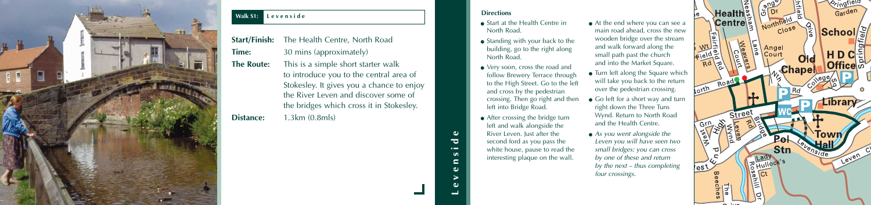- Start at the Health Centre in North Road.
- Standing with your back to the building, go to the right along North Road.
- Very soon, cross the road and follow Brewery Terrace through to the High Street. Go to the left and cross by the pedestrian crossing. Then go right and then left into Bridge Road.
- After crossing the bridge turn left and walk alongside the River Leven. Just after the second ford as you pass the white house, pause to read the interesting plaque on the wall.
- At the end where you can see a main road ahead, cross the new wooden bridge over the stream and walk forward along the small path past the church and into the Market Square.
- Turn left along the Square which will take you back to the return over the pedestrian crossing.
- Go left for a short way and turn right down the Three Tuns Wynd. Return to North Road and the Health Centre.
- $\bullet$  As you went alongside the Leven you will have seen two small bridges: you can cross by one of these and return by the next – thus completing four crossings.



**Levenside**

 $\omega$ 

 $\overline{\phantom{a}}$ 

 $\sim$ 

#### **Directions**

| <b>Start/Finish:</b> | The Health Centre, North Road                                                     |  |  |
|----------------------|-----------------------------------------------------------------------------------|--|--|
| <b>Time:</b>         | 30 mins (approximately)                                                           |  |  |
| <b>The Route:</b>    | This is a simple short starter walk                                               |  |  |
|                      | to introduce you to the central area of                                           |  |  |
|                      | Stokesley. It gives you a chance to enjoy<br>the River Leven and discover some of |  |  |
|                      |                                                                                   |  |  |
|                      | the bridges which cross it in Stokesley.                                          |  |  |
| <b>Distance:</b>     | 1.3km(0.8m/s)                                                                     |  |  |



#### **Walk S1: Levenside**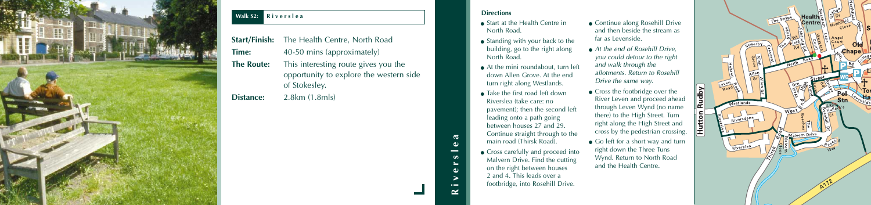|                   | <b>Start/Finish:</b> The Health Centre, North Road       |  |
|-------------------|----------------------------------------------------------|--|
| Time:             | 40-50 mins (approximately)                               |  |
| <b>The Route:</b> | This interesting route gives you the                     |  |
|                   | opportunity to explore the western side<br>of Stokesley. |  |

**Distance:** 2.8km (1.8mls)



## **Walk S2: Riverslea**

- Start at the Health Centre in North Road.
- Standing with your back to the building, go to the right along North Road.
- At the mini roundabout, turn left down Allen Grove. At the end turn right along Westlands.
- Take the first road left down Riverslea (take care: no pavement); then the second left leading onto a path going between houses 27 and 29. Continue straight through to the main road (Thirsk Road).
- Cross carefully and proceed into Malvern Drive. Find the cutting on the right between houses 2 and 4. This leads over a footbridge, into Rosehill Drive.
- Continue along Rosehill Drive and then beside the stream as far as Levenside.
- At the end of Rosehill Drive, you could detour to the right and walk through the allotments. Return to Rosehill Drive the same way.
- Cross the footbridge over the River Leven and proceed ahead through Leven Wynd (no name there) to the High Street. Turn right along the High Street and cross by the pedestrian crossing.
- Go left for a short way and turn right down the Three Tuns Wynd. Return to North Road and the Health Centre.





**Riverslea**

 $\bullet$   $\blacksquare$ ≃

 $\sigma$  $\omega$  $\overline{\phantom{a}}$  $\omega$  $\omega$ 

#### **Directions**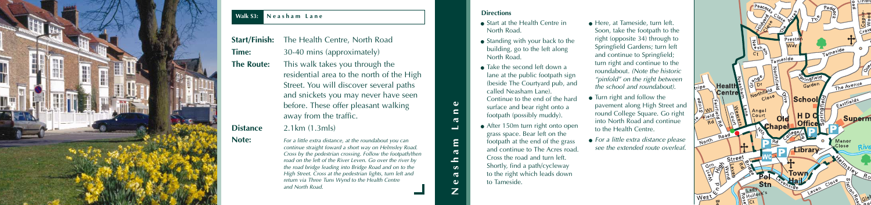- Start at the Health Centre in North Road.
- Standing with your back to the building, go to the left along North Road.
- $\bullet$  Take the second left down a lane at the public footpath sign (beside The Courtyard pub, and called Neasham Lane). Continue to the end of the hard surface and bear right onto a footpath (possibly muddy).
- After 150m turn right onto open grass space. Bear left on the footpath at the end of the grass and continue to The Acres road. Cross the road and turn left. Shortly, find a path/cycleway to the right which leads down to Tameside.
- Here, at Tameside, turn left. Soon, take the footpath to the right (opposite 34) through to Springfield Gardens; turn left and continue to Springfield; turn right and continue to the roundabout. (Note the historic "pinfold" on the right between the school and roundabout).
- Turn right and follow the pavement along High Street and round College Square. Go right into North Road and continue to the Health Centre.
- For a little extra distance please see the extended route overleaf.



**Neasham Lane**

 $\mathbf{\overline{a}}$  $\equiv$  $\epsilon$  $\mathbf{\sigma}$  $\omega$ 

Ε

 $\omega$  $\epsilon$ 

 $\mathbf{\sigma}$  $\rightarrow$ 

#### **Directions**

| <b>Start/Finish:</b> | The Health Centre, North Road                                                                                                                                                                                                                                                                                                                                                                                                             |  |
|----------------------|-------------------------------------------------------------------------------------------------------------------------------------------------------------------------------------------------------------------------------------------------------------------------------------------------------------------------------------------------------------------------------------------------------------------------------------------|--|
| Time:                | 30-40 mins (approximately)                                                                                                                                                                                                                                                                                                                                                                                                                |  |
| <b>The Route:</b>    | This walk takes you through the<br>residential area to the north of the High<br>Street. You will discover several paths<br>and snickets you may never have seen<br>before. These offer pleasant walking<br>away from the traffic.                                                                                                                                                                                                         |  |
| <b>Distance</b>      | $2.1 \text{km}$ $(1.3 \text{m/s})$                                                                                                                                                                                                                                                                                                                                                                                                        |  |
| Note:                | For a little extra distance, at the roundabout you can<br>continue straight foward a short way on Helmsley Road.<br>Cross by the pedestrian crossing. Follow the footpath/then<br>road on the left of the River Leven. Go over the river by<br>the road bridge leading into Bridge Road and on to the<br>High Street. Cross at the pedestrian lights, turn left and<br>return via Three Tuns Wynd to the Health Centre<br>and North Road. |  |



#### **Walk S3: Neasham Lane**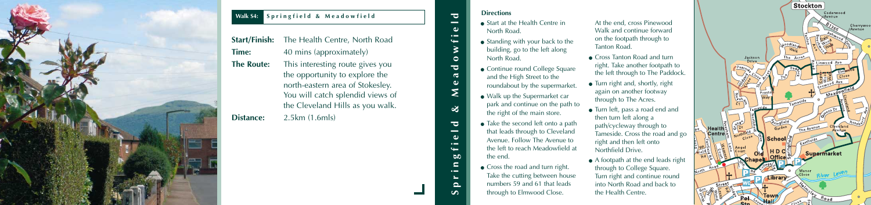- Start at the Health Centre in North Road.
- Standing with your back to the building, go to the left along North Road.
- Continue round College Square and the High Street to the roundabout by the supermarket.
- Walk up the Supermarket car park and continue on the path to the right of the main store.
- Take the second left onto a path that leads through to Cleveland Avenue. Follow The Avenue to the left to reach Meadowfield at the end.
- Cross the road and turn right. Take the cutting between house numbers 59 and 61 that leads through to Elmwood Close.
- At the end, cross Pinewood Walk and continue forward on the footpath through to Tanton Road.
- Cross Tanton Road and turn right. Take another footpath to the left through to The Paddock.
- Turn right and, shortly, right again on another footway through to The Acres.
- Turn left, pass a road end and then turn left along a path/cycleway through to Tameside. Cross the road and go right and then left onto Northfield Drive.
- A footpath at the end leads right through to College Square. Turn right and continue round into North Road and back to the Health Centre.





**Springfield & Meadowfield**

 $\infty$ 

 $\overline{\bullet}$ 

 $\overline{\phantom{a}}$ 

 $\bullet$   $\leftarrow$ 

 $\omega$ 

 $\mathbf{a}$  $\blacksquare$  $\sim$ 

 $\Omega$ 

Σ

 $\overline{\phantom{a}}$  $\sim$ 

 $\omega$  $\bullet$   $\blacksquare$  $\leftarrow$ 

 $\circ$ 

 $\overline{\bullet}$  $\sigma$ 

#### **Directions**

|                   | <b>Start/Finish:</b> The Health Centre, North Road |  |  |
|-------------------|----------------------------------------------------|--|--|
| Time:             | 40 mins (approximately)                            |  |  |
| <b>The Route:</b> | This interesting route gives you                   |  |  |
|                   | the opportunity to explore the                     |  |  |
|                   | north-eastern area of Stokesley.                   |  |  |
|                   | You will catch splendid views of                   |  |  |
|                   | the Cleveland Hills as you walk.                   |  |  |
| Distance:         | 2.5km (1.6mls)                                     |  |  |



## **Walk S4: Springfield & Meadowfield**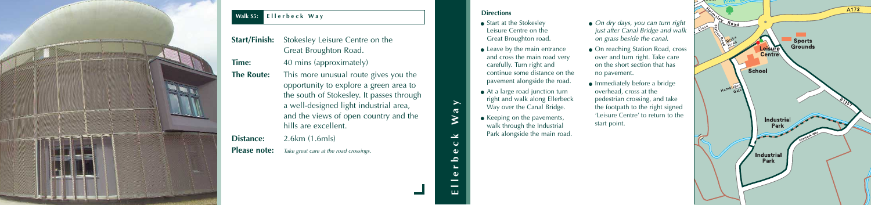- Start at the Stokesley Leisure Centre on the Great Broughton road.
- $\bullet$  Leave by the main entrance and cross the main road very carefully. Turn right and continue some distance on the pavement alongside the road.
- At a large road junction turn right and walk along Ellerbeck Way over the Canal Bridge.
- Keeping on the pavements, walk through the Industrial Park alongside the main road.
- On dry days, you can turn right just after Canal Bridge and walk on grass beside the canal.
- On reaching Station Road, cross over and turn right. Take care on the short section that has no pavement.
- Immediately before a bridge overhead, cross at the pedestrian crossing, and take the footpath to the right signed 'Leisure Centre' to return to the start point.



**Ellerbeck Way**

 $\overline{\mathbf{C}}$  $\omega$  $\overline{\phantom{a}}$  $\overline{\phantom{a}}$ ш

 $\geq$ 

 $\mathfrak{c}$  $\omega$ 

 $\mathbf{\overline{d}}$  $\geq$ 

#### **Directions**

| <b>Start/Finish:</b> | Stokesley Leisure Centre on the<br>Great Broughton Road.                                                                                                                                                                                |  |
|----------------------|-----------------------------------------------------------------------------------------------------------------------------------------------------------------------------------------------------------------------------------------|--|
| Time:                | 40 mins (approximately)                                                                                                                                                                                                                 |  |
| <b>The Route:</b>    | This more unusual route gives you the<br>opportunity to explore a green area to<br>the south of Stokesley. It passes through<br>a well-designed light industrial area,<br>and the views of open country and the<br>hills are excellent. |  |
| <b>Distance:</b>     | 2.6km (1.6mls)                                                                                                                                                                                                                          |  |
| <b>Please note:</b>  | Take great care at the road crossings.                                                                                                                                                                                                  |  |



## **Walk S5: Ellerbeck Way**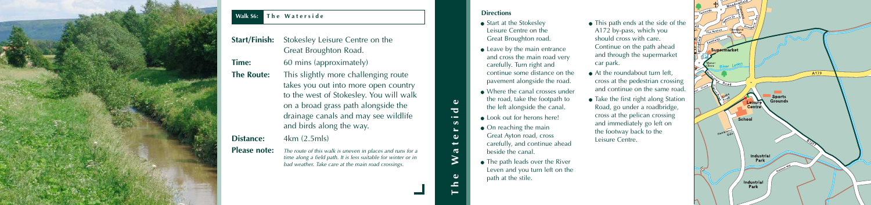- Start at the Stokesley Leisure Centre on the Great Broughton road.
- $\bullet$  Leave by the main entrance and cross the main road very carefully. Turn right and continue some distance on the pavement alongside the road.
- Where the canal crosses under the road, take the footpath to the left alongside the canal.
- Look out for herons here!
- $\bullet$  On reaching the main Great Ayton road, cross carefully, and continue ahead beside the canal.
- The path leads over the River Leven and you turn left on the path at the stile.
- This path ends at the side of the A172 by-pass, which you should cross with care. Continue on the path ahead and through the supermarket car park.
- At the roundabout turn left, cross at the pedestrian crossing and continue on the same road.
- $\bullet$  Take the first right along Station Road, go under a roadbridge, cross at the pelican crossing and immediately go left on the footway back to the Leisure Centre.
- 



**Please note:** The route of this walk is uneven in places and runs for a time along a field path. It is less suitable for winter or in bad weather. Take care at the main road crossings.

**The Waterside**

 $\geq$ 

 $\omega$ 

 $\triangle$ 

 $\overline{\phantom{a}}$  $\bullet$   $\blacksquare$ 

> $\epsilon$  $\omega$ ىپ  $\mathbf{\sigma}$

#### **Directions**

| <b>Start/Finish:</b> | Stokesley Leisure Centre on the<br>Great Broughton Road.                                                                                                                                                                           |
|----------------------|------------------------------------------------------------------------------------------------------------------------------------------------------------------------------------------------------------------------------------|
| <b>Time:</b>         | 60 mins (approximately)                                                                                                                                                                                                            |
| <b>The Route:</b>    | This slightly more challenging route<br>takes you out into more open country<br>to the west of Stokesley. You will walk<br>on a broad grass path alongside the<br>drainage canals and may see wildlife<br>and birds along the way. |
| <b>Distance:</b>     | 4km (2.5mls)                                                                                                                                                                                                                       |
| ni i                 |                                                                                                                                                                                                                                    |



## **Walk S6: The Waterside**